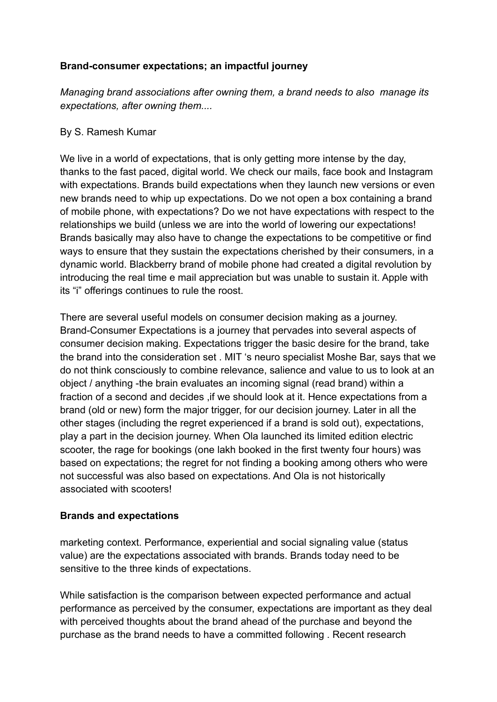# **Brand-consumer expectations; an impactful journey**

*Managing brand associations after owning them, a brand needs to also manage its expectations, after owning them....*

# By S. Ramesh Kumar

We live in a world of expectations, that is only getting more intense by the day, thanks to the fast paced, digital world. We check our mails, face book and Instagram with expectations. Brands build expectations when they launch new versions or even new brands need to whip up expectations. Do we not open a box containing a brand of mobile phone, with expectations? Do we not have expectations with respect to the relationships we build (unless we are into the world of lowering our expectations! Brands basically may also have to change the expectations to be competitive or find ways to ensure that they sustain the expectations cherished by their consumers, in a dynamic world. Blackberry brand of mobile phone had created a digital revolution by introducing the real time e mail appreciation but was unable to sustain it. Apple with its "i" offerings continues to rule the roost.

There are several useful models on consumer decision making as a journey. Brand-Consumer Expectations is a journey that pervades into several aspects of consumer decision making. Expectations trigger the basic desire for the brand, take the brand into the consideration set . MIT 's neuro specialist Moshe Bar, says that we do not think consciously to combine relevance, salience and value to us to look at an object / anything -the brain evaluates an incoming signal (read brand) within a fraction of a second and decides ,if we should look at it. Hence expectations from a brand (old or new) form the major trigger, for our decision journey. Later in all the other stages (including the regret experienced if a brand is sold out), expectations, play a part in the decision journey. When Ola launched its limited edition electric scooter, the rage for bookings (one lakh booked in the first twenty four hours) was based on expectations; the regret for not finding a booking among others who were not successful was also based on expectations. And Ola is not historically associated with scooters!

# **Brands and expectations**

marketing context. Performance, experiential and social signaling value (status value) are the expectations associated with brands. Brands today need to be sensitive to the three kinds of expectations.

While satisfaction is the comparison between expected performance and actual performance as perceived by the consumer, expectations are important as they deal with perceived thoughts about the brand ahead of the purchase and beyond the purchase as the brand needs to have a committed following . Recent research